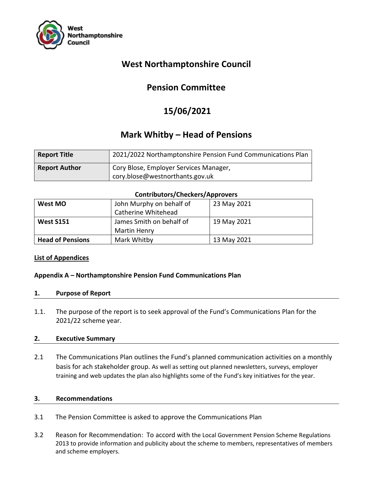

# **West Northamptonshire Council**

# **Pension Committee**

# **15/06/2021**

# **Mark Whitby – Head of Pensions**

| <b>Report Title</b>  | 2021/2022 Northamptonshire Pension Fund Communications Plan |
|----------------------|-------------------------------------------------------------|
| <b>Report Author</b> | Cory Blose, Employer Services Manager,                      |
|                      | cory.blose@westnorthants.gov.uk                             |

## **Contributors/Checkers/Approvers**

| West MO                 | John Murphy on behalf of | 23 May 2021 |  |
|-------------------------|--------------------------|-------------|--|
|                         | Catherine Whitehead      |             |  |
| <b>West S151</b>        | James Smith on behalf of | 19 May 2021 |  |
|                         | Martin Henry             |             |  |
| <b>Head of Pensions</b> | Mark Whitby              | 13 May 2021 |  |

## **List of Appendices**

## **Appendix A – Northamptonshire Pension Fund Communications Plan**

#### **1. Purpose of Report**

1.1. The purpose of the report is to seek approval of the Fund's Communications Plan for the 2021/22 scheme year.

#### **2. Executive Summary**

2.1 The Communications Plan outlines the Fund's planned communication activities on a monthly basis for ach stakeholder group. As well as setting out planned newsletters, surveys, employer training and web updates the plan also highlights some of the Fund's key initiatives for the year.

#### **3. Recommendations**

- 3.1 The Pension Committee is asked to approve the Communications Plan
- 3.2 Reason for Recommendation: To accord with the Local Government Pension Scheme Regulations 2013 to provide information and publicity about the scheme to members, representatives of members and scheme employers.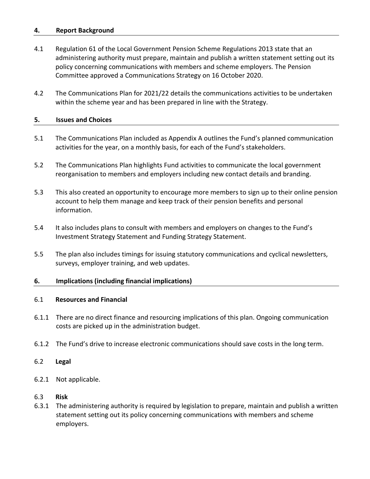#### **4. Report Background**

- 4.1 Regulation 61 of the Local Government Pension Scheme Regulations 2013 state that an administering authority must prepare, maintain and publish a written statement setting out its policy concerning communications with members and scheme employers. The Pension Committee approved a Communications Strategy on 16 October 2020.
- 4.2 The Communications Plan for 2021/22 details the communications activities to be undertaken within the scheme year and has been prepared in line with the Strategy.

#### **5. Issues and Choices**

- 5.1 The Communications Plan included as Appendix A outlines the Fund's planned communication activities for the year, on a monthly basis, for each of the Fund's stakeholders.
- 5.2 The Communications Plan highlights Fund activities to communicate the local government reorganisation to members and employers including new contact details and branding.
- 5.3 This also created an opportunity to encourage more members to sign up to their online pension account to help them manage and keep track of their pension benefits and personal information.
- 5.4 It also includes plans to consult with members and employers on changes to the Fund's Investment Strategy Statement and Funding Strategy Statement.
- 5.5 The plan also includes timings for issuing statutory communications and cyclical newsletters, surveys, employer training, and web updates.

#### **6. Implications (including financial implications)**

#### 6.1 **Resources and Financial**

- 6.1.1 There are no direct finance and resourcing implications of this plan. Ongoing communication costs are picked up in the administration budget.
- 6.1.2 The Fund's drive to increase electronic communications should save costs in the long term.
- 6.2 **Legal**
- 6.2.1 Not applicable.

#### 6.3 **Risk**

6.3.1 The administering authority is required by legislation to prepare, maintain and publish a written statement setting out its policy concerning communications with members and scheme employers.